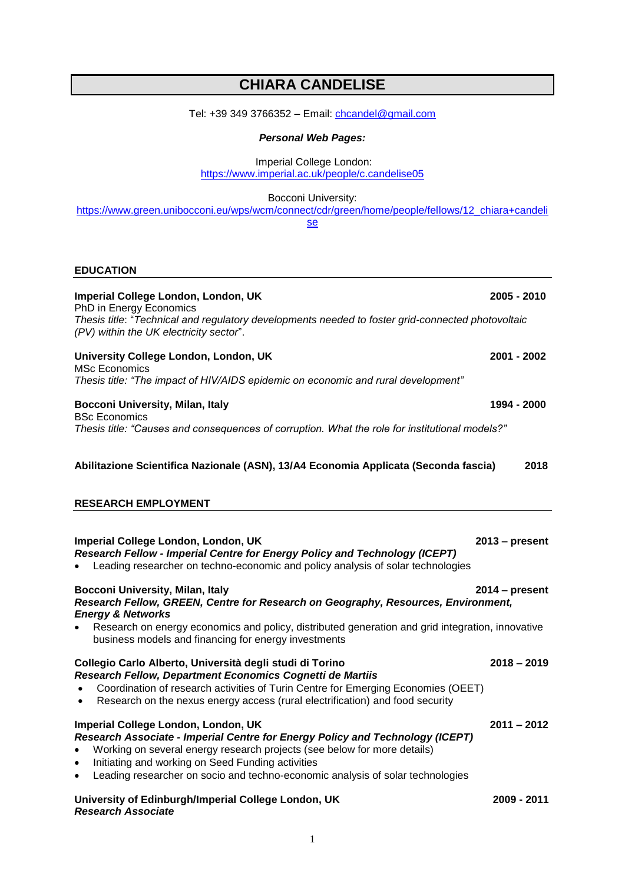# **CHIARA CANDELISE**

Tel: +39 349 3766352 - Email: [chcandel@gmail.com](mailto:chcandel@gmail.com)

# *Personal Web Pages:*

Imperial College London:

<https://www.imperial.ac.uk/people/c.candelise05>

Bocconi University:

[https://www.green.unibocconi.eu/wps/wcm/connect/cdr/green/home/people/fellows/12\\_chiara+candeli](https://www.green.unibocconi.eu/wps/wcm/connect/cdr/green/home/people/fellows/12_chiara+candelise) [se](https://www.green.unibocconi.eu/wps/wcm/connect/cdr/green/home/people/fellows/12_chiara+candelise)

### **EDUCATION**

| Imperial College London, London, UK                                                                                                                                                                                                                                                                                                                                            | 2005 - 2010      |
|--------------------------------------------------------------------------------------------------------------------------------------------------------------------------------------------------------------------------------------------------------------------------------------------------------------------------------------------------------------------------------|------------------|
| PhD in Energy Economics<br>Thesis title: "Technical and regulatory developments needed to foster grid-connected photovoltaic<br>(PV) within the UK electricity sector".                                                                                                                                                                                                        |                  |
| University College London, London, UK<br><b>MSc Economics</b>                                                                                                                                                                                                                                                                                                                  | 2001 - 2002      |
| Thesis title: "The impact of HIV/AIDS epidemic on economic and rural development"                                                                                                                                                                                                                                                                                              |                  |
| Bocconi University, Milan, Italy<br><b>BSc Economics</b>                                                                                                                                                                                                                                                                                                                       | 1994 - 2000      |
| Thesis title: "Causes and consequences of corruption. What the role for institutional models?"                                                                                                                                                                                                                                                                                 |                  |
| Abilitazione Scientifica Nazionale (ASN), 13/A4 Economia Applicata (Seconda fascia)<br>2018                                                                                                                                                                                                                                                                                    |                  |
| <b>RESEARCH EMPLOYMENT</b>                                                                                                                                                                                                                                                                                                                                                     |                  |
| Imperial College London, London, UK<br>Research Fellow - Imperial Centre for Energy Policy and Technology (ICEPT)<br>Leading researcher on techno-economic and policy analysis of solar technologies<br>$\bullet$                                                                                                                                                              | $2013$ – present |
| Bocconi University, Milan, Italy<br>Research Fellow, GREEN, Centre for Research on Geography, Resources, Environment,<br><b>Energy &amp; Networks</b>                                                                                                                                                                                                                          | $2014 - present$ |
| Research on energy economics and policy, distributed generation and grid integration, innovative<br>business models and financing for energy investments                                                                                                                                                                                                                       |                  |
| Collegio Carlo Alberto, Università degli studi di Torino<br>Research Fellow, Department Economics Cognetti de Martiis<br>Coordination of research activities of Turin Centre for Emerging Economies (OEET)<br>Research on the nexus energy access (rural electrification) and food security<br>$\bullet$                                                                       | $2018 - 2019$    |
| Imperial College London, London, UK<br>Research Associate - Imperial Centre for Energy Policy and Technology (ICEPT)<br>Working on several energy research projects (see below for more details)<br>$\bullet$<br>Initiating and working on Seed Funding activities<br>$\bullet$<br>Leading researcher on socio and techno-economic analysis of solar technologies<br>$\bullet$ | $2011 - 2012$    |
| University of Edinburgh/Imperial College London, UK<br><b>Research Associate</b>                                                                                                                                                                                                                                                                                               | 2009 - 2011      |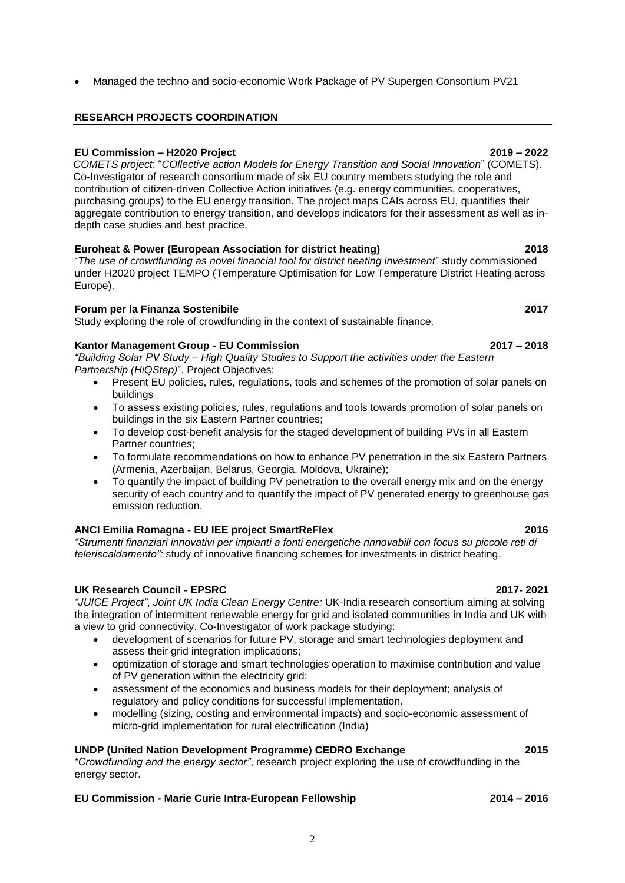Managed the techno and socio-economic Work Package of PV Supergen Consortium PV21

## **RESEARCH PROJECTS COORDINATION**

## **EU Commission – H2020 Project 2019 – 2022**

*COMETS project*: "*COllective action Models for Energy Transition and Social Innovation*" (COMETS). Co-Investigator of research consortium made of six EU country members studying the role and contribution of citizen-driven Collective Action initiatives (e.g. energy communities, cooperatives, purchasing groups) to the EU energy transition. The project maps CAIs across EU, quantifies their aggregate contribution to energy transition, and develops indicators for their assessment as well as indepth case studies and best practice.

### **Euroheat & Power (European Association for district heating) 2018**

"*The use of crowdfunding as novel financial tool for district heating investment*" study commissioned under H2020 project TEMPO (Temperature Optimisation for Low Temperature District Heating across Europe).

### **Forum per la Finanza Sostenibile 2017**

Study exploring the role of crowdfunding in the context of sustainable finance.

### **Kantor Management Group - EU Commission 2017 – 2018**

*"Building Solar PV Study – High Quality Studies to Support the activities under the Eastern Partnership (HiQStep)*". Project Objectives:

- Present EU policies, rules, regulations, tools and schemes of the promotion of solar panels on buildings
- To assess existing policies, rules, regulations and tools towards promotion of solar panels on buildings in the six Eastern Partner countries;
- To develop cost-benefit analysis for the staged development of building PVs in all Eastern Partner countries;
- To formulate recommendations on how to enhance PV penetration in the six Eastern Partners (Armenia, Azerbaijan, Belarus, Georgia, Moldova, Ukraine);
- To quantify the impact of building PV penetration to the overall energy mix and on the energy security of each country and to quantify the impact of PV generated energy to greenhouse gas emission reduction.

### **ANCI Emilia Romagna - EU IEE project SmartReFlex 2016**

*"Strumenti finanziari innovativi per impianti a fonti energetiche rinnovabili con focus su piccole reti di teleriscaldamento":* study of innovative financing schemes for investments in district heating.

### **UK Research Council - EPSRC 2017- 2021**

*"JUICE Project"*, *Joint UK India Clean Energy Centre:* UK-India research consortium aiming at solving the integration of intermittent renewable energy for grid and isolated communities in India and UK with a view to grid connectivity. Co-Investigator of work package studying:

- development of scenarios for future PV, storage and smart technologies deployment and assess their grid integration implications;
- optimization of storage and smart technologies operation to maximise contribution and value of PV generation within the electricity grid;
- assessment of the economics and business models for their deployment; analysis of regulatory and policy conditions for successful implementation.
- modelling (sizing, costing and environmental impacts) and socio-economic assessment of micro-grid implementation for rural electrification (India)

## **UNDP (United Nation Development Programme) CEDRO Exchange 2015**

*"Crowdfunding and the energy sector"*, research project exploring the use of crowdfunding in the energy sector.

## **EU Commission - Marie Curie Intra-European Fellowship 2014 – 2016**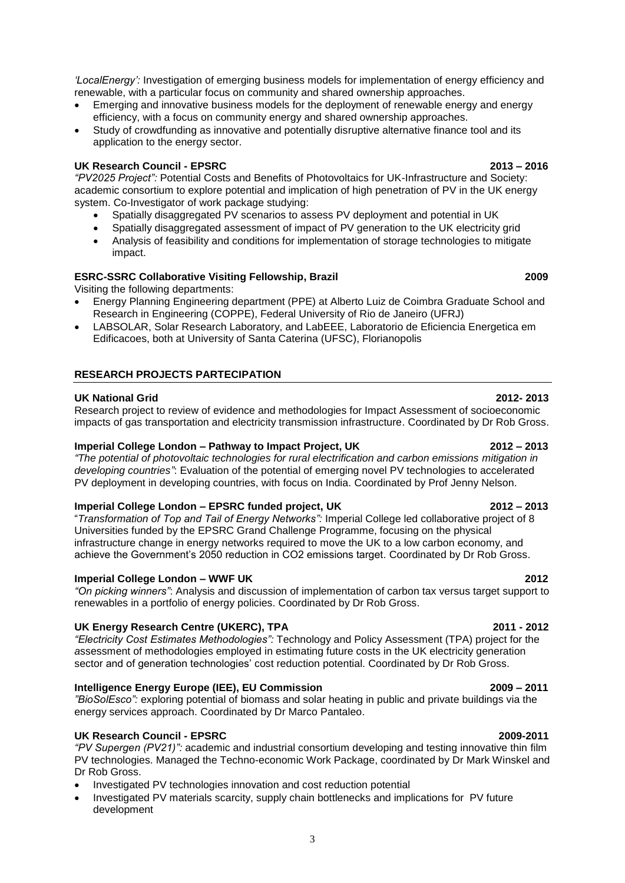*'LocalEnergy':* Investigation of emerging business models for implementation of energy efficiency and renewable, with a particular focus on community and shared ownership approaches.

- Emerging and innovative business models for the deployment of renewable energy and energy efficiency, with a focus on community energy and shared ownership approaches.
- Study of crowdfunding as innovative and potentially disruptive alternative finance tool and its application to the energy sector.

### **UK Research Council - EPSRC 2013 – 2016**

*"PV2025 Project":* Potential Costs and Benefits of Photovoltaics for UK-Infrastructure and Society: academic consortium to explore potential and implication of high penetration of PV in the UK energy system. Co-Investigator of work package studying:

- Spatially disaggregated PV scenarios to assess PV deployment and potential in UK
- Spatially disaggregated assessment of impact of PV generation to the UK electricity grid
- Analysis of feasibility and conditions for implementation of storage technologies to mitigate impact.

### **ESRC-SSRC Collaborative Visiting Fellowship, Brazil 2009**

Visiting the following departments:

- Energy Planning Engineering department (PPE) at Alberto Luiz de Coimbra Graduate School and Research in Engineering (COPPE), Federal University of Rio de Janeiro (UFRJ)
- LABSOLAR, Solar Research Laboratory, and LabEEE, Laboratorio de Eficiencia Energetica em Edificacoes, both at University of Santa Caterina (UFSC), Florianopolis

### **RESEARCH PROJECTS PARTECIPATION**

### **UK National Grid 2012- 2013**

Research project to review of evidence and methodologies for Impact Assessment of socioeconomic impacts of gas transportation and electricity transmission infrastructure. Coordinated by Dr Rob Gross.

### **Imperial College London – Pathway to Impact Project, UK 2012 – 2013**

*"The potential of photovoltaic technologies for rural electrification and carbon emissions mitigation in developing countries"*: Evaluation of the potential of emerging novel PV technologies to accelerated PV deployment in developing countries, with focus on India. Coordinated by Prof Jenny Nelson.

### **Imperial College London – EPSRC funded project, UK 2012 – 2013**

"*Transformation of Top and Tail of Energy Networks":* Imperial College led collaborative project of 8 Universities funded by the EPSRC Grand Challenge Programme, focusing on the physical infrastructure change in energy networks required to move the UK to a low carbon economy, and achieve the Government's 2050 reduction in CO2 emissions target. Coordinated by Dr Rob Gross.

### **Imperial College London – WWF UK 2012**

*"On picking winners"*: Analysis and discussion of implementation of carbon tax versus target support to renewables in a portfolio of energy policies. Coordinated by Dr Rob Gross.

### **UK Energy Research Centre (UKERC), TPA 2011 - 2012**

*"Electricity Cost Estimates Methodologies":* Technology and Policy Assessment (TPA) project for the *a*ssessment of methodologies employed in estimating future costs in the UK electricity generation sector and of generation technologies' cost reduction potential. Coordinated by Dr Rob Gross.

### **Intelligence Energy Europe (IEE), EU Commission 2009 – 2011**

*"BioSolEsco":* exploring potential of biomass and solar heating in public and private buildings via the energy services approach. Coordinated by Dr Marco Pantaleo.

### **UK Research Council - EPSRC 2009-2011**

*"PV Supergen (PV21)":* academic and industrial consortium developing and testing innovative thin film PV technologies. Managed the Techno-economic Work Package, coordinated by Dr Mark Winskel and Dr Rob Gross.

- Investigated PV technologies innovation and cost reduction potential
- Investigated PV materials scarcity, supply chain bottlenecks and implications for PV future development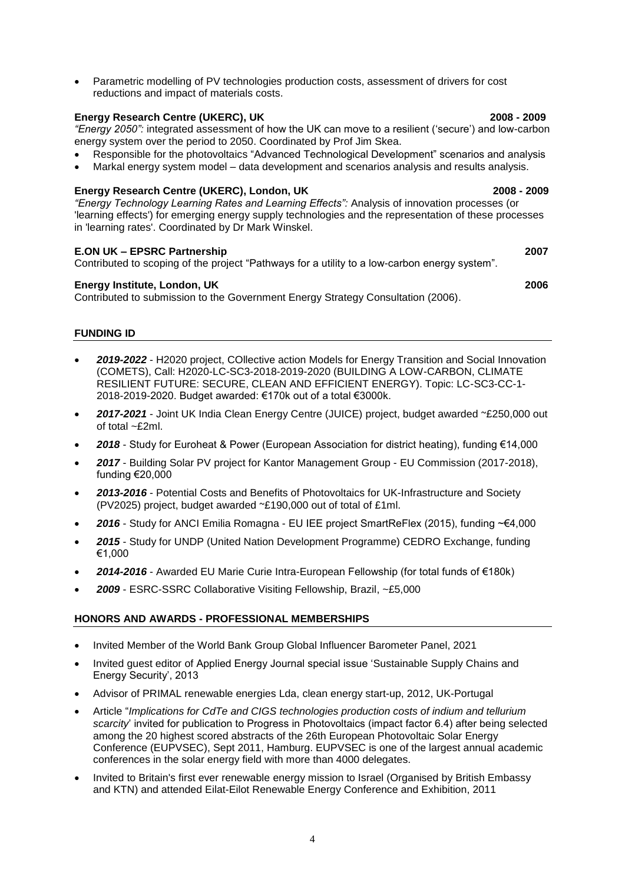Parametric modelling of PV technologies production costs, assessment of drivers for cost reductions and impact of materials costs.

### **Energy Research Centre (UKERC), UK 2008 - 2009**

*"Energy 2050":* integrated assessment of how the UK can move to a resilient ('secure') and low-carbon energy system over the period to 2050. Coordinated by Prof Jim Skea.

- Responsible for the photovoltaics "Advanced Technological Development" scenarios and analysis
- Markal energy system model data development and scenarios analysis and results analysis.

### **Energy Research Centre (UKERC), London, UK 2008 - 2009**

*"Energy Technology Learning Rates and Learning Effects":* Analysis of innovation processes (or 'learning effects') for emerging energy supply technologies and the representation of these processes in 'learning rates'. Coordinated by Dr Mark Winskel.

### **E.ON UK – EPSRC Partnership 2007**

Contributed to scoping of the project "Pathways for a utility to a low-carbon energy system".

### **Energy Institute, London, UK 2006**

Contributed to submission to the Government Energy Strategy Consultation (2006).

### **FUNDING ID**

- *2019-2022* H2020 project, COllective action Models for Energy Transition and Social Innovation (COMETS), Call: H2020-LC-SC3-2018-2019-2020 (BUILDING A LOW-CARBON, CLIMATE RESILIENT FUTURE: SECURE, CLEAN AND EFFICIENT ENERGY). Topic: LC-SC3-CC-1- 2018-2019-2020. Budget awarded: €170k out of a total €3000k.
- *2017-2021* Joint UK India Clean Energy Centre (JUICE) project, budget awarded ~£250,000 out of total ~£2ml.
- *2018* Study for Euroheat & Power (European Association for district heating), funding €14,000
- *2017* Building Solar PV project for Kantor Management Group EU Commission (2017-2018), funding €20,000
- *2013-2016* Potential Costs and Benefits of Photovoltaics for UK-Infrastructure and Society (PV2025) project, budget awarded ~£190,000 out of total of £1ml.
- 2016 Study for ANCI Emilia Romagna EU IEE project SmartReFlex (2015), funding ~€4,000
- *2015* Study for UNDP (United Nation Development Programme) CEDRO Exchange, funding €1,000
- *2014-2016* Awarded EU Marie Curie Intra-European Fellowship (for total funds of €180k)
- *2009*  ESRC-SSRC Collaborative Visiting Fellowship, Brazil, ~£5,000

### **HONORS AND AWARDS - PROFESSIONAL MEMBERSHIPS**

- Invited Member of the World Bank Group Global Influencer Barometer Panel, 2021
- Invited guest editor of Applied Energy Journal special issue 'Sustainable Supply Chains and Energy Security', 2013
- Advisor of PRIMAL renewable energies Lda, clean energy start-up, 2012, UK-Portugal
- Article "*Implications for CdTe and CIGS technologies production costs of indium and tellurium scarcity*' invited for publication to Progress in Photovoltaics (impact factor 6.4) after being selected among the 20 highest scored abstracts of the 26th European Photovoltaic Solar Energy Conference (EUPVSEC), Sept 2011, Hamburg. EUPVSEC is one of the largest annual academic conferences in the solar energy field with more than 4000 delegates.
- Invited to Britain's first ever renewable energy mission to Israel (Organised by British Embassy and KTN) and attended Eilat-Eilot Renewable Energy Conference and Exhibition, 2011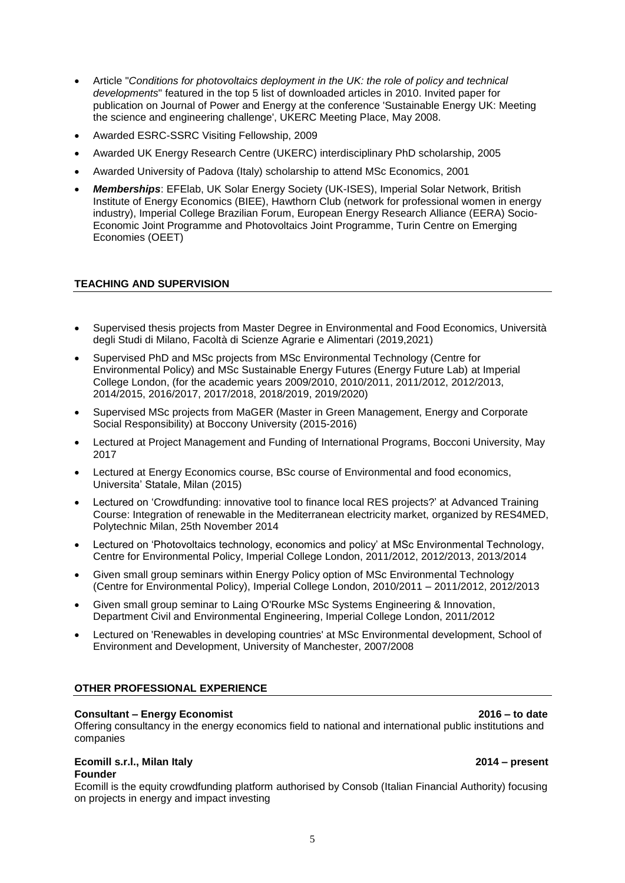- Article "*Conditions for photovoltaics deployment in the UK: the role of policy and technical developments*" featured in the top 5 list of downloaded articles in 2010. Invited paper for publication on Journal of Power and Energy at the conference 'Sustainable Energy UK: Meeting the science and engineering challenge', UKERC Meeting Place, May 2008.
- Awarded ESRC-SSRC Visiting Fellowship, 2009
- Awarded UK Energy Research Centre (UKERC) interdisciplinary PhD scholarship, 2005
- Awarded University of Padova (Italy) scholarship to attend MSc Economics, 2001
- *Memberships*: EFElab, UK Solar Energy Society (UK-ISES), Imperial Solar Network, British Institute of Energy Economics (BIEE), Hawthorn Club (network for professional women in energy industry), Imperial College Brazilian Forum, European Energy Research Alliance (EERA) Socio-Economic Joint Programme and Photovoltaics Joint Programme, Turin Centre on Emerging Economies (OEET)

### **TEACHING AND SUPERVISION**

- Supervised thesis projects from Master Degree in Environmental and Food Economics, Università degli Studi di Milano, Facoltà di Scienze Agrarie e Alimentari (2019,2021)
- Supervised PhD and MSc projects from MSc Environmental Technology (Centre for Environmental Policy) and MSc Sustainable Energy Futures (Energy Future Lab) at Imperial College London, (for the academic years 2009/2010, 2010/2011, 2011/2012, 2012/2013, 2014/2015, 2016/2017, 2017/2018, 2018/2019, 2019/2020)
- Supervised MSc projects from MaGER (Master in Green Management, Energy and Corporate Social Responsibility) at Boccony University (2015-2016)
- Lectured at Project Management and Funding of International Programs, Bocconi University, May 2017
- Lectured at Energy Economics course, BSc course of Environmental and food economics, Universita' Statale, Milan (2015)
- Lectured on 'Crowdfunding: innovative tool to finance local RES projects?' at Advanced Training Course: Integration of renewable in the Mediterranean electricity market, organized by RES4MED, Polytechnic Milan, 25th November 2014
- Lectured on 'Photovoltaics technology, economics and policy' at MSc Environmental Technology, Centre for Environmental Policy, Imperial College London, 2011/2012, 2012/2013, 2013/2014
- Given small group seminars within Energy Policy option of MSc Environmental Technology (Centre for Environmental Policy), Imperial College London, 2010/2011 – 2011/2012, 2012/2013
- Given small group seminar to Laing O'Rourke MSc Systems Engineering & Innovation, Department Civil and Environmental Engineering, Imperial College London, 2011/2012
- Lectured on 'Renewables in developing countries' at MSc Environmental development, School of Environment and Development, University of Manchester, 2007/2008

### **OTHER PROFESSIONAL EXPERIENCE**

### **Consultant – Energy Economist 2016 – to date**

Offering consultancy in the energy economics field to national and international public institutions and companies

### **Ecomill s.r.l., Milan Italy 2014 – present Founder**

Ecomill is the equity crowdfunding platform authorised by Consob (Italian Financial Authority) focusing on projects in energy and impact investing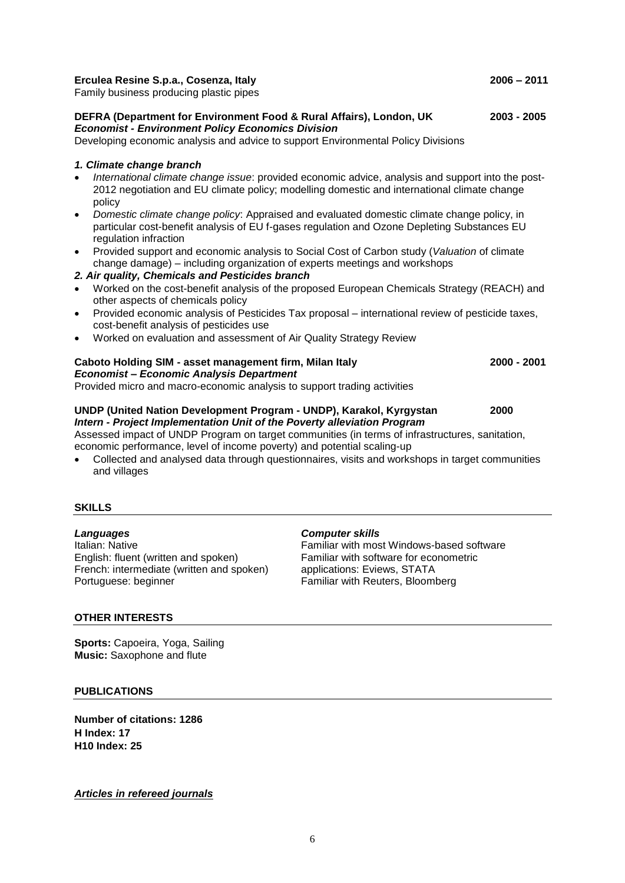### **Erculea Resine S.p.a., Cosenza, Italy 2006 – 2011**

Family business producing plastic pipes

### **DEFRA (Department for Environment Food & Rural Affairs), London, UK 2003 - 2005** *Economist - Environment Policy Economics Division*

Developing economic analysis and advice to support Environmental Policy Divisions

### *1. Climate change branch*

- *International climate change issue*: provided economic advice, analysis and support into the post-2012 negotiation and EU climate policy; modelling domestic and international climate change policy
- *Domestic climate change policy*: Appraised and evaluated domestic climate change policy, in particular cost-benefit analysis of EU f-gases regulation and Ozone Depleting Substances EU regulation infraction
- Provided support and economic analysis to Social Cost of Carbon study (*Valuation* of climate change damage) – including organization of experts meetings and workshops
- *2. Air quality, Chemicals and Pesticides branch*
- Worked on the cost-benefit analysis of the proposed European Chemicals Strategy (REACH) and other aspects of chemicals policy
- Provided economic analysis of Pesticides Tax proposal international review of pesticide taxes, cost-benefit analysis of pesticides use
- Worked on evaluation and assessment of Air Quality Strategy Review

### **Caboto Holding SIM - asset management firm, Milan Italy 2000 - 2001** *Economist – Economic Analysis Department*

Provided micro and macro-economic analysis to support trading activities

# **UNDP (United Nation Development Program - UNDP), Karakol, Kyrgystan 2000** *Intern - Project Implementation Unit of the Poverty alleviation Program*

Assessed impact of UNDP Program on target communities (in terms of infrastructures, sanitation, economic performance, level of income poverty) and potential scaling-up

 Collected and analysed data through questionnaires, visits and workshops in target communities and villages

### **SKILLS**

*Languages Computer skills* English: fluent (written and spoken)<br>Familiar with software for econometric French: intermediate (written and spoken) applications: Eviews, STATA French: intermediate (written and spoken) Portuguese: beginner Familiar with Reuters, Bloomberg

Familiar with most Windows-based software<br>Familiar with software for econometric

### **OTHER INTERESTS**

**Sports:** Capoeira, Yoga, Sailing **Music:** Saxophone and flute

### **PUBLICATIONS**

**Number of citations: 1286 H Index: 17 H10 Index: 25**

*Articles in refereed journals*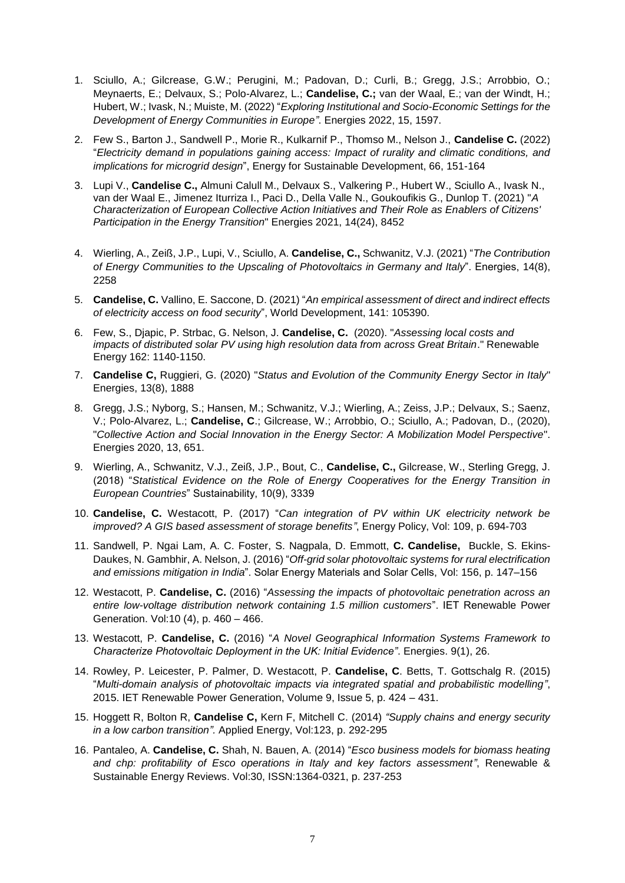- 1. Sciullo, A.; Gilcrease, G.W.; Perugini, M.; Padovan, D.; Curli, B.; Gregg, J.S.; Arrobbio, O.; Meynaerts, E.; Delvaux, S.; Polo-Alvarez, L.; **Candelise, C.;** van der Waal, E.; van der Windt, H.; Hubert, W.; Ivask, N.; Muiste, M. (2022) "*Exploring Institutional and Socio-Economic Settings for the Development of Energy Communities in Europe"*. Energies 2022, 15, 1597.
- 2. Few S., Barton J., Sandwell P., Morie R., Kulkarnif P., Thomso M., Nelson J., **Candelise C.** (2022) "*Electricity demand in populations gaining access: Impact of rurality and climatic conditions, and implications for microgrid design*", Energy for Sustainable Development, 66, 151-164
- 3. Lupi V., **Candelise C.,** Almuni Calull M., Delvaux S., Valkering P., Hubert W., Sciullo A., Ivask N., van der Waal E., Jimenez Iturriza I., Paci D., Della Valle N., Goukoufikis G., Dunlop T. (2021) "*A Characterization of European Collective Action Initiatives and Their Role as Enablers of Citizens' Participation in the Energy Transition*" Energies 2021, 14(24), 8452
- 4. Wierling, A., Zeiß, J.P., Lupi, V., Sciullo, A. **Candelise, C.,** Schwanitz, V.J. (2021) "*The Contribution of Energy Communities to the Upscaling of Photovoltaics in Germany and Italy*". Energies, 14(8), 2258
- 5. **Candelise, C.** Vallino, E. Saccone, D. (2021) "*An empirical assessment of direct and indirect effects of electricity access on food security*", World Development, 141: 105390.
- 6. Few, S., Djapic, P. Strbac, G. Nelson, J. **Candelise, C.** (2020). "*Assessing local costs and*  impacts of distributed solar PV using high resolution data from across Great Britain." Renewable Energy 162: 1140-1150.
- 7. **Candelise C,** Ruggieri, G. (2020) "*Status and Evolution of the Community Energy Sector in Italy*" Energies, 13(8), 1888
- 8. Gregg, J.S.; Nyborg, S.; Hansen, M.; Schwanitz, V.J.; Wierling, A.; Zeiss, J.P.; Delvaux, S.; Saenz, V.; Polo-Alvarez, L.; **Candelise, C**.; Gilcrease, W.; Arrobbio, O.; Sciullo, A.; Padovan, D., (2020), "*Collective Action and Social Innovation in the Energy Sector: A Mobilization Model Perspective*". Energies 2020, 13, 651.
- 9. Wierling, A., Schwanitz, V.J., Zeiß, J.P., Bout, C., **Candelise, C.,** Gilcrease, W., Sterling Gregg, J. (2018) "*Statistical Evidence on the Role of Energy Cooperatives for the Energy Transition in European Countries*" Sustainability, 10(9), 3339
- 10. **Candelise, C.** Westacott, P. (2017) "*Can integration of PV within UK electricity network be improved? A GIS based assessment of storage benefits"*, Energy Policy, Vol: 109, p. 694-703
- 11. Sandwell, P. Ngai Lam, A. C. Foster, S. Nagpala, D. Emmott, **C. Candelise,** Buckle, S. Ekins-Daukes, N. Gambhir, A. Nelson, J. (2016) "*Off-grid solar photovoltaic systems for rural electrification and emissions mitigation in India*". Solar Energy Materials and Solar Cells, Vol: 156, p. 147–156
- 12. Westacott, P. **Candelise, C.** (2016) "*Assessing the impacts of photovoltaic penetration across an entire low-voltage distribution network containing 1.5 million customers*". IET Renewable Power Generation. Vol:10 (4), p. 460 – 466.
- 13. Westacott, P. **Candelise, C.** (2016) "*A Novel Geographical Information Systems Framework to Characterize Photovoltaic Deployment in the UK: Initial Evidence"*. Energies. 9(1), 26.
- 14. Rowley, P. Leicester, P. Palmer, D. Westacott, P. **Candelise, C**. Betts, T. Gottschalg R. (2015) "*Multi-domain analysis of photovoltaic impacts via integrated spatial and probabilistic modelling"*, 2015. IET Renewable Power Generation, Volume 9, Issue 5, p. 424 – 431.
- 15. Hoggett R, Bolton R, **Candelise C,** Kern F, Mitchell C. (2014) *"Supply chains and energy security in a low carbon transition".* Applied Energy, Vol:123, p. 292-295
- 16. Pantaleo, A. **Candelise, C.** Shah, N. Bauen, A. (2014) "*Esco business models for biomass heating and chp: profitability of Esco operations in Italy and key factors assessment"*, Renewable & Sustainable Energy Reviews. Vol:30, ISSN:1364-0321, p. 237-253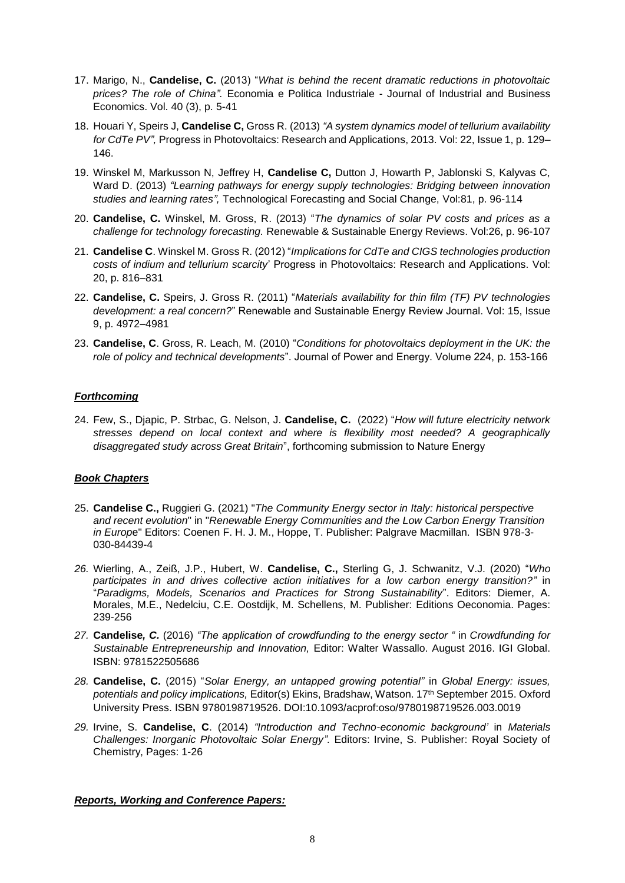- 17. Marigo, N., **Candelise, C.** (2013) "*What is behind the recent dramatic reductions in photovoltaic prices? The role of China".* Economia e Politica Industriale - Journal of Industrial and Business Economics. Vol. 40 (3), p. 5-41
- 18. Houari Y, Speirs J, **Candelise C,** Gross R. (2013) *"A system dynamics model of tellurium availability for CdTe PV",* Progress in Photovoltaics: Research and Applications, 2013. Vol: 22, Issue 1, p. 129– 146.
- 19. Winskel M, Markusson N, Jeffrey H, **Candelise C,** Dutton J, Howarth P, Jablonski S, Kalyvas C, Ward D. (2013) *"Learning pathways for energy supply technologies: Bridging between innovation studies and learning rates",* Technological Forecasting and Social Change, Vol:81, p. 96-114
- 20. **Candelise, C.** Winskel, M. Gross, R. (2013) "*The dynamics of solar PV costs and prices as a challenge for technology forecasting.* Renewable & Sustainable Energy Reviews. Vol:26, p. 96-107
- 21. **Candelise C**. Winskel M. Gross R. (2012) "*Implications for CdTe and CIGS technologies production costs of indium and tellurium scarcity*' Progress in Photovoltaics: Research and Applications. Vol: 20, p. 816–831
- 22. **Candelise, C.** Speirs, J. Gross R. (2011) "*Materials availability for thin film (TF) PV technologies development: a real concern?*" Renewable and Sustainable Energy Review Journal. Vol: 15, Issue 9, p. 4972–4981
- 23. **Candelise, C**. Gross, R. Leach, M. (2010) "*Conditions for photovoltaics deployment in the UK: the role of policy and technical developments*". Journal of Power and Energy. Volume 224, p. 153-166

### *Forthcoming*

24. Few, S., Djapic, P. Strbac, G. Nelson, J. **Candelise, C.** (2022) "*How will future electricity network stresses depend on local context and where is flexibility most needed? A geographically disaggregated study across Great Britain*", forthcoming submission to Nature Energy

### *Book Chapters*

- 25. **Candelise C.,** Ruggieri G. (2021) "*The Community Energy sector in Italy: historical perspective and recent evolution*" in "*Renewable Energy Communities and the Low Carbon Energy Transition in Europ*e" Editors: Coenen F. H. J. M., Hoppe, T. Publisher: Palgrave Macmillan. ISBN 978-3- 030-84439-4
- *26.* Wierling, A., Zeiß, J.P., Hubert, W. **Candelise, C.,** Sterling G, J. Schwanitz, V.J. (2020) "*Who participates in and drives collective action initiatives for a low carbon energy transition?"* in "*Paradigms, Models, Scenarios and Practices for Strong Sustainability*". Editors: Diemer, A. Morales, M.E., Nedelciu, C.E. Oostdijk, M. Schellens, M. Publisher: Editions Oeconomia. Pages: 239-256
- *27.* **Candelise***, C.* (2016) *"The application of crowdfunding to the energy sector "* in *Crowdfunding for Sustainable Entrepreneurship and Innovation,* Editor: Walter Wassallo. August 2016. IGI Global. ISBN: 9781522505686
- *28.* **Candelise, C.** (2015) "*Solar Energy, an untapped growing potential"* in *Global Energy: issues, potentials and policy implications,* Editor(s) Ekins, Bradshaw, Watson. 17th September 2015. Oxford University Press. ISBN 9780198719526. DOI:10.1093/acprof:oso/9780198719526.003.0019
- *29.* Irvine, S. **Candelise, C**. (2014) *"Introduction and Techno-economic background'* in *Materials Challenges: Inorganic Photovoltaic Solar Energy".* Editors: Irvine, S. Publisher: Royal Society of Chemistry, Pages: 1-26

### *Reports, Working and Conference Papers:*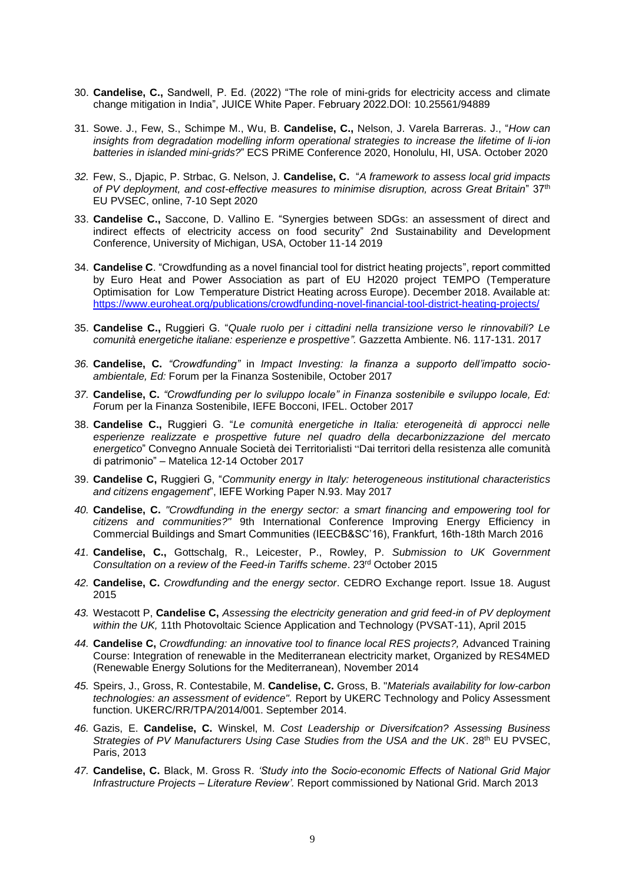- 30. **Candelise, C.,** Sandwell, P. Ed. (2022) "The role of mini-grids for electricity access and climate change mitigation in India", JUICE White Paper. February 2022.DOI: 10.25561/94889
- 31. Sowe. J., Few, S., Schimpe M., Wu, B. **Candelise, C.,** Nelson, J. Varela Barreras. J., "*How can insights from degradation modelling inform operational strategies to increase the lifetime of li-ion batteries in islanded mini-grids?*" ECS PRiME Conference 2020, Honolulu, HI, USA. October 2020
- *32.* Few, S., Djapic, P. Strbac, G. Nelson, J. **Candelise, C.** "*A framework to assess local grid impacts of PV deployment, and cost-effective measures to minimise disruption, across Great Britain*" 37th EU PVSEC, online, 7-10 Sept 2020
- 33. **Candelise C.,** Saccone, D. Vallino E. "Synergies between SDGs: an assessment of direct and indirect effects of electricity access on food security" 2nd Sustainability and Development Conference, University of Michigan, USA, October 11-14 2019
- 34. **Candelise C**. "Crowdfunding as a novel financial tool for district heating projects", report committed by Euro Heat and Power Association as part of EU H2020 project TEMPO (Temperature Optimisation for Low Temperature District Heating across Europe). December 2018. Available at: <https://www.euroheat.org/publications/crowdfunding-novel-financial-tool-district-heating-projects/>
- 35. **Candelise C.,** Ruggieri G. "*Quale ruolo per i cittadini nella transizione verso le rinnovabili? Le comunità energetiche italiane: esperienze e prospettive".* Gazzetta Ambiente. N6. 117-131. 2017
- *36.* **Candelise, C.** *"Crowdfunding"* in *Impact Investing: la finanza a supporto dell'impatto socioambientale, Ed:* Forum per la Finanza Sostenibile, October 2017
- *37.* **Candelise, C.** *"Crowdfunding per lo sviluppo locale" in Finanza sostenibile e sviluppo locale, Ed: F*orum per la Finanza Sostenibile, IEFE Bocconi, IFEL. October 2017
- 38. **Candelise C.,** Ruggieri G. "*Le comunità energetiche in Italia: eterogeneità di approcci nelle esperienze realizzate e prospettive future nel quadro della decarbonizzazione del mercato energetico*" Convegno Annuale Società dei Territorialisti "Dai territori della resistenza alle comunità di patrimonio" – Matelica 12-14 October 2017
- 39. **Candelise C,** Ruggieri G, "*Community energy in Italy: heterogeneous institutional characteristics and citizens engagement*", IEFE Working Paper N.93. May 2017
- *40.* **Candelise, C.** *"Crowdfunding in the energy sector: a smart financing and empowering tool for citizens and communities?"* 9th International Conference Improving Energy Efficiency in Commercial Buildings and Smart Communities (IEECB&SC'16), Frankfurt, 16th-18th March 2016
- *41.* **Candelise, C.,** Gottschalg, R., Leicester, P., Rowley, P. *Submission to UK Government Consultation on a review of the Feed-in Tariffs scheme*. 23rd October 2015
- *42.* **Candelise, C.** *Crowdfunding and the energy sector*. CEDRO Exchange report. Issue 18. August 2015
- *43.* Westacott P, **Candelise C,** *Assessing the electricity generation and grid feed-in of PV deployment within the UK,* 11th Photovoltaic Science Application and Technology (PVSAT-11), April 2015
- *44.* **Candelise C,** *Crowdfunding: an innovative tool to finance local RES projects?,* Advanced Training Course: Integration of renewable in the Mediterranean electricity market, Organized by RES4MED (Renewable Energy Solutions for the Mediterranean), November 2014
- *45.* Speirs, J., Gross, R. Contestabile, M. **Candelise, C.** Gross, B. "*Materials availability for low-carbon technologies: an assessment of evidence".* Report by UKERC Technology and Policy Assessment function. UKERC/RR/TPA/2014/001. September 2014.
- *46.* Gazis, E. **Candelise, C.** Winskel, M. *Cost Leadership or Diversifcation? Assessing Business Strategies of PV Manufacturers Using Case Studies from the USA and the UK.* 28<sup>th</sup> EU PVSEC, Paris, 2013
- *47.* **Candelise, C.** Black, M. Gross R. *'Study into the Socio-economic Effects of National Grid Major Infrastructure Projects – Literature Review'.* Report commissioned by National Grid. March 2013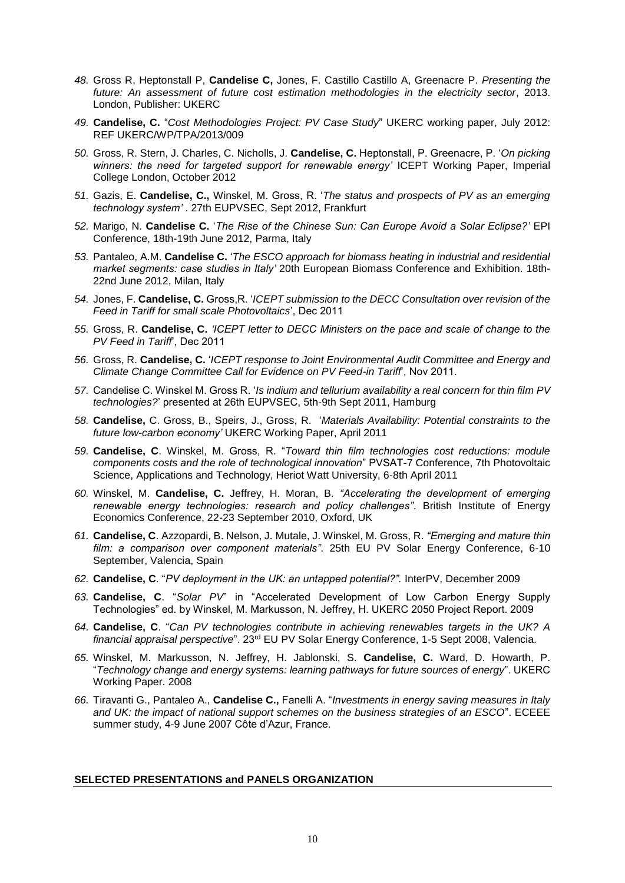- *48.* Gross R, Heptonstall P, **Candelise C,** Jones, F. Castillo Castillo A, Greenacre P. *Presenting the future: An assessment of future cost estimation methodologies in the electricity sector*, 2013. London, Publisher: UKERC
- *49.* **Candelise, C.** "*Cost Methodologies Project: PV Case Study*" UKERC working paper, July 2012: REF UKERC/WP/TPA/2013/009
- *50.* Gross, R. Stern, J. Charles, C. Nicholls, J. **Candelise, C.** Heptonstall, P. Greenacre, P. '*On picking winners: the need for targeted support for renewable energy'* ICEPT Working Paper, Imperial College London, October 2012
- *51.* Gazis, E. **Candelise, C.,** Winskel, M. Gross, R. '*The status and prospects of PV as an emerging technology system'* . 27th EUPVSEC, Sept 2012, Frankfurt
- *52.* Marigo, N. **Candelise C.** '*The Rise of the Chinese Sun: Can Europe Avoid a Solar Eclipse?'* EPI Conference, 18th-19th June 2012, Parma, Italy
- *53.* Pantaleo, A.M. **Candelise C.** '*The ESCO approach for biomass heating in industrial and residential market segments: case studies in Italy'* 20th European Biomass Conference and Exhibition. 18th-22nd June 2012, Milan, Italy
- *54.* Jones, F. **Candelise, C.** Gross,R. '*ICEPT submission to the DECC Consultation over revision of the Feed in Tariff for small scale Photovoltaics*', Dec 2011
- *55.* Gross, R. **Candelise, C.** *'ICEPT letter to DECC Ministers on the pace and scale of change to the PV Feed in Tariff*', Dec 2011
- *56.* Gross, R. **Candelise, C.** '*ICEPT response to Joint Environmental Audit Committee and Energy and Climate Change Committee Call for Evidence on PV Feed-in Tariff*', Nov 2011.
- *57.* Candelise C. Winskel M. Gross R. '*Is indium and tellurium availability a real concern for thin film PV technologies?*' presented at 26th EUPVSEC, 5th-9th Sept 2011, Hamburg
- *58.* **Candelise,** C. Gross, B., Speirs, J., Gross, R. '*Materials Availability: Potential constraints to the future low-carbon economy'* UKERC Working Paper, April 2011
- *59.* **Candelise, C**. Winskel, M. Gross, R. "*Toward thin film technologies cost reductions: module components costs and the role of technological innovation*" PVSAT-7 Conference, 7th Photovoltaic Science, Applications and Technology, Heriot Watt University, 6-8th April 2011
- *60.* Winskel, M. **Candelise, C.** Jeffrey, H. Moran, B. *"Accelerating the development of emerging renewable energy technologies: research and policy challenges"*. British Institute of Energy Economics Conference, 22-23 September 2010, Oxford, UK
- *61.* **Candelise, C**. Azzopardi, B. Nelson, J. Mutale, J. Winskel, M. Gross, R. *"Emerging and mature thin film: a comparison over component materials"*. 25th EU PV Solar Energy Conference, 6-10 September, Valencia, Spain
- *62.* **Candelise, C**. "*PV deployment in the UK: an untapped potential?".* InterPV, December 2009
- *63.* **Candelise, C**. "*Solar PV*" in "Accelerated Development of Low Carbon Energy Supply Technologies" ed. by Winskel, M. Markusson, N. Jeffrey, H. UKERC 2050 Project Report. 2009
- *64.* **Candelise, C**. "*Can PV technologies contribute in achieving renewables targets in the UK? A financial appraisal perspective*". 23rd EU PV Solar Energy Conference, 1-5 Sept 2008, Valencia.
- *65.* Winskel, M. Markusson, N. Jeffrey, H. Jablonski, S. **Candelise, C.** Ward, D. Howarth, P. "*Technology change and energy systems: learning pathways for future sources of energy*". UKERC Working Paper. 2008
- *66.* Tiravanti G., Pantaleo A., **Candelise C.,** Fanelli A. "*Investments in energy saving measures in Italy and UK: the impact of national support schemes on the business strategies of an ESCO*". ECEEE summer study, 4-9 June 2007 Côte d'Azur, France.

### **SELECTED PRESENTATIONS and PANELS ORGANIZATION**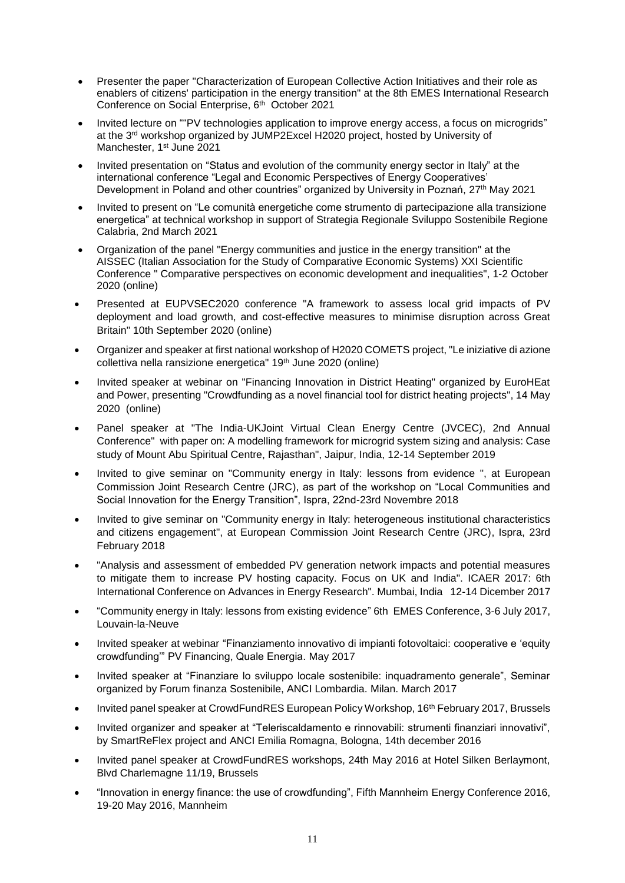- Presenter the paper "Characterization of European Collective Action Initiatives and their role as enablers of citizens' participation in the energy transition" at the 8th EMES International Research Conference on Social Enterprise, 6th October 2021
- Invited lecture on ""PV technologies application to improve energy access, a focus on microgrids" at the 3rd workshop organized by JUMP2Excel H2020 project, hosted by University of Manchester, 1<sup>st</sup> June 2021
- Invited presentation on "Status and evolution of the community energy sector in Italy" at the international conference "Legal and Economic Perspectives of Energy Cooperatives' Development in Poland and other countries" organized by University in Poznań, 27<sup>th</sup> May 2021
- Invited to present on "Le comunità energetiche come strumento di partecipazione alla transizione energetica" at technical workshop in support of Strategia Regionale Sviluppo Sostenibile Regione Calabria, 2nd March 2021
- Organization of the panel "Energy communities and justice in the energy transition" at the AISSEC (Italian Association for the Study of Comparative Economic Systems) XXI Scientific Conference " Comparative perspectives on economic development and inequalities", 1-2 October 2020 (online)
- Presented at EUPVSEC2020 conference "A framework to assess local grid impacts of PV deployment and load growth, and cost-effective measures to minimise disruption across Great Britain" 10th September 2020 (online)
- Organizer and speaker at first national workshop of H2020 COMETS project, "Le iniziative di azione collettiva nella ransizione energetica" 19th June 2020 (online)
- Invited speaker at webinar on "Financing Innovation in District Heating" organized by EuroHEat and Power, presenting "Crowdfunding as a novel financial tool for district heating projects", 14 May 2020 (online)
- Panel speaker at "The India-UKJoint Virtual Clean Energy Centre (JVCEC), 2nd Annual Conference" with paper on: A modelling framework for microgrid system sizing and analysis: Case study of Mount Abu Spiritual Centre, Rajasthan", Jaipur, India, 12-14 September 2019
- Invited to give seminar on "Community energy in Italy: lessons from evidence ", at European Commission Joint Research Centre (JRC), as part of the workshop on "Local Communities and Social Innovation for the Energy Transition", Ispra, 22nd-23rd Novembre 2018
- Invited to give seminar on "Community energy in Italy: heterogeneous institutional characteristics and citizens engagement", at European Commission Joint Research Centre (JRC), Ispra, 23rd February 2018
- "Analysis and assessment of embedded PV generation network impacts and potential measures to mitigate them to increase PV hosting capacity. Focus on UK and India". ICAER 2017: 6th International Conference on Advances in Energy Research". Mumbai, India 12-14 Dicember 2017
- "Community energy in Italy: lessons from existing evidence" 6th EMES Conference, 3-6 July 2017, Louvain-la-Neuve
- Invited speaker at webinar "Finanziamento innovativo di impianti fotovoltaici: cooperative e 'equity crowdfunding'" PV Financing, Quale Energia. May 2017
- Invited speaker at "Finanziare lo sviluppo locale sostenibile: inquadramento generale", Seminar organized by Forum finanza Sostenibile, ANCI Lombardia. Milan. March 2017
- **Invited panel speaker at CrowdFundRES European Policy Workshop, 16<sup>th</sup> February 2017, Brussels**
- Invited organizer and speaker at "Teleriscaldamento e rinnovabili: strumenti finanziari innovativi", by SmartReFlex project and ANCI Emilia Romagna, Bologna, 14th december 2016
- Invited panel speaker at CrowdFundRES workshops, 24th May 2016 at Hotel Silken Berlaymont, Blvd Charlemagne 11/19, Brussels
- "Innovation in energy finance: the use of crowdfunding", Fifth Mannheim Energy Conference 2016, 19-20 May 2016, Mannheim